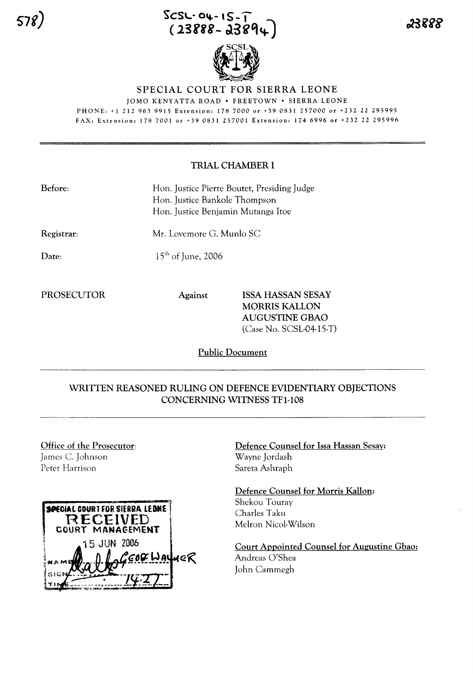# **SCSL- 0,,-- ,s-. (23fii-** cl3g'l~l



# SPECIAL COURT FOR SIERRA LEONE

JOMO KENYATTA ROAD • FREETOWN • SIERRA LEONE

PHONE: +1212963 9915 Extension: 1787000 or +390831257000 or +232 22 295995 FAX: Extension: 178 7001 or +39 0831 257001 Extension. 174 6996 or +232 22 295996

## TRIAL CHAMBER I

| Before: | Hon. Justice Pierre Boutet, Presiding Judge |
|---------|---------------------------------------------|
|         | Hon. Justice Bankole Thompson               |
|         | Hon. Justice Benjamin Mutanga Itoe          |
|         |                                             |

Registrar:

Date:

 $15<sup>th</sup>$  of June, 2006

Mr. Lovemore G. Munlo SC

PROSECUTOR Against ISSA HASSAN SESAY MORRIS KALLON AUGUSTINE GBAO (Case No. SCSL-04-15-T)

Public Document

# WRITTEN REASONED RULING ON DEFENCE EVIDENTIARY OBJECTIONS CONCERNING WITNESS TFl-108

Office of the Prosecutor: James C. Johnson Peter Harrison



Defence Counsel for Issa Hassan Sesay: Wayne Jordash Sareta Ashraph

Defence Counsel for Morris Kallon: Shekou Touray Charles Taku Melron Nicol-Wilson

Court Appointed Counsel for Augustine Gbao: Andreas O'Shea John Cammegh

23888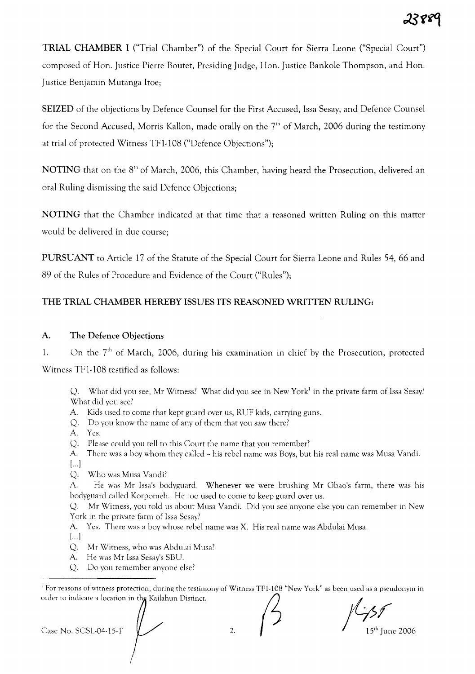TRIAL CHAMBER I ("Trial Chamber") of the Special Court for Sierra Leone ("Special Court") composed of Han. Justice Pierre Boutet, Presiding Judge, Han. Justice Bankole Thompson, and Han. Justice Benjamin Mutanga ltoe;

SEIZED of the objections by Defence Counsel for the First Accused, Issa Sesay, and Defence Counsel for the Second Accused, Morris Kallon, made orally on the  $7<sup>th</sup>$  of March, 2006 during the testimony at trial of protected Witness TF1-108 ("Defence Objections");

NOTING that on the 8<sup>th</sup> of March, 2006, this Chamber, having heard the Prosecution, delivered an oral Ruling dismissing the said Defence Objections;

NOTING that the Chamber indicated at that time that a reasoned written Ruling on this matter would be delivered in due course;

PURSUANT to Article 17 of the Statute of the Special Court for Sierra Leone and Rules 54, 66 and 89 of the Rules of Procedure and Evidence of the Court ("Rules");

# THE TRIAL CHAMBER HEREBY ISSUES ITS REASONED WRITTEN RULING:

#### A. The Defence Objections

1. On the  $7<sup>th</sup>$  of March, 2006, during his examination in chief by the Prosecution, protected Witness TFI-I08 testified as follows:

Q. What did you see, Mr Witness? What did you see in New York<sup>1</sup> in the private farm of Issa Sesay? What did you see?

- A. Kids used to come that kept guard over us, RUF kids, carrying guns.
- Q. Do you know the name of any of them that you saw there?
- A. Yes.

Q. Please could you tell to this Court the name that you remember?

A. There was a boy whom they called  $\sim$  his rebel name was Boys, but his real name was Musa Vandi.  $\left[\ldots\right]$ 

Q. Who was Musa Vandi?

A. He was Mr Issa's bodyguard. Whenever we were brushing Mr Gbao's farm, there was his bodyguard called Korpomeh. He too used to come to keep guard over us.

Q. Mr Witness, you told us about Musa Vandi. Did you see anyone else you can remember in New York in the private farm of Issa Sesay?

A. Yes. There was a boy whose rebel name was X. His real name was Abdulai Musa.

[... J

Mr Witness, who was Abdulai Musa? Q.

A. He was Mr Issa Sesay's SBU.

Do you remember anyone else? Q.

<sup>1</sup> For reasons of witness protection, during the testimony of Witness TF1-108 "New York" as been used as a pseudonym in order to indicate a location in the Kailahun Distinct.

Case No. SCSL-04-15-T<br>Case No. SCSL-04-15-T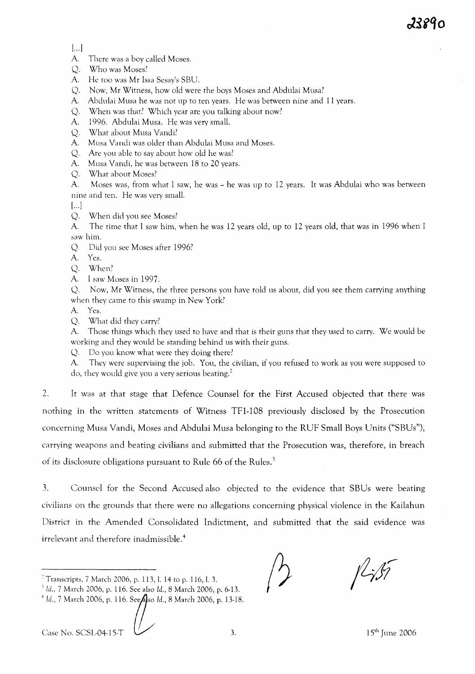2389n

 $[...]$ 

A. There was a boy called Moses.

- Q. Who was Moses?
- A. He too was Mr Issa Sesay's SBU.
- Q. Now, Mr Witness, how old were the boys Moses and Abdulai Musa?
- A. Abdulai Musa he was not up to ten years. He was between nine and 11 years.
- Q. When was that? Which year are you talking about now?
- A. 1996. Abdulai Musa. He was very small.
- Q. What about Musa Vandi?
- A. Musa Vandi was older than Abdulai Musa and Moses.
- Q. Are you able to say about how old he was?
- A. Musa Vandi, he was between 18 to 20 years.
- Q. What about Moses?

A. Moses was, from what I saw, he was  $\sim$  he was up to 12 years. It was Abdulai who was between nine and ten. He was very small.

[...]

Q. When did you see Moses?

A. The time that I saw him, when he was 12 years old, up to 12 years old, that was in 1996 when I saw him.

- Q. Did you see Moses after 1996?
- A. Yes.
- Q. When?
- A. I saw Moses in 1997.

Q. Now, Mr Witness, the three persons you have told us about, did you see them carrying anything when they came to this swamp in New York?

A. Yes.

Q. What did they carry?

A. Those things which they used to have and that is their guns that they used to carry. We would be working and they would be standing behind us with their guns.

Q. Do you know what were they doing there?

A. They were supervising the job. You, the civilian, if you refused to work as you were supposed to do, they would give you a very serious beating.<sup>2</sup>

2. It was at that stage that Defence Counsel for the First Accused objected that there was nothing in the written statements of Witness TFI-I08 previously disclosed by the Prosecution concerning Musa Vandi, Moses and Abdulai Musa belonging to the RUF Small Boys Units ("SBUs"), carrying weapons and beating civilians and submitted that the Prosecution was, therefore, in breach of its disclosure obligations pursuant to Rule 66 of the Rules.<sup>3</sup>

3. Counsel for the Second Accused also objected to the evidence that SBUs were beating civilians on the grounds that there were no allegations concerning physical violence in the Kailahun District in the Amended Consolidated Indictment, and submitted that the said evidence was irrelevant and therefore inadmissible. <sup>4</sup>

Case No. SCSL-04-15-T  $\sqrt{3}$ . 15<sup>th</sup> June 2006

 $2$  Transcripts, 7 March 2006, p. 113, l. 14 to p. 116, l. 3.

<sup>i</sup> Id., 7 March 2006, p. 116. See also Id., 8 March 2006, p. 6-13.

<sup>&</sup>lt;sup>4</sup> Id., 7 March 2006, p. 116. SeeAso Id., 8 March 2006, p. 13-18.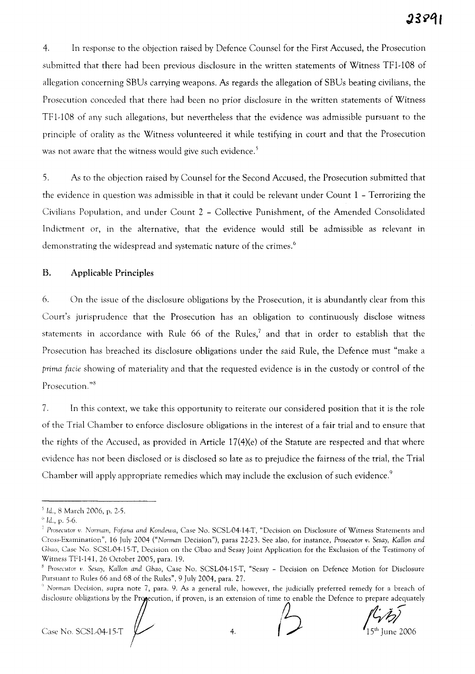4. In response to the objection raised by Defence Counsel for the First Accused, the Prosecution submitted that there had been previous disclosure in the written statements of Witness TFl-108 of allegation concerning SBUs carrying weapons. As regards the allegation of SBUs beating civilians, the Prosecution conceded that there had been no prior disclosure in the written statements of Witness TFl-108 of any such allegations, but nevertheless that the evidence was admissible pursuant to the principle of orality as the Witness volunteered it while testifying in court and that the Prosecution was not aware that the witness would give such evidence.<sup>5</sup>

5. As to the objection raised by Counsel for the Second Accused, the Prosecution submitted that the evidence in question was admissible in that it could be relevant under Count 1 - Terrorizing the Civilians Population, and under Count 2 - Collective Punishment, of the Amended Consolidated Indictment or, in the alternative, that the evidence would still be admissible as relevant in demonstrating the widespread and systematic nature of the crimes.<sup>6</sup>

### B. Applicable Principles

6. On the issue of the disclosure obligations by the Prosecution, it is abundantly clear from this Court's jurisprudence that the Prosecution has an obligation to continuously disclose witness statements in accordance with Rule 66 of the Rules,<sup>7</sup> and that in order to establish that the Prosecution has breached its disclosure obligations under the said Rule, the Defence must "make a *prima facie* showing of materiality and that the requested evidence is in the custody or control of the Prosecution."<sup>8</sup>

7. In this context, we take this opportunity to reiterate our considered position that it is the role of the Trial Chamber to enforce disclosure obligations in the interest of a fair trial and to ensure that the rights of the Accused, as provided in Article 17(4)(e) of the Statute are respected and that where evidence has not been disclosed or is disclosed so late as to prejudice the fairness of the trial, the Trial Chamber will apply appropriate remedies which may include the exclusion of such evidence.<sup>9</sup>

<sup>5</sup> Id., 8 March 2006, p. 2-5.

 $^{\circ}$  *ld.*, p. 5-6.

*<sup>;</sup> Prosecutor v. Norman, Fofana and Kondewa,* Case No. SCSL-04-14-T, "Decision on Disclosure of Witness Statements and Cross-Examination", 16 July 2004 *("Norman* Decision"), paras 22-23. See also, for instance, *Prosecutor v. Sesay,* KaHan *and Gbao,* Case No. SCSL-04-15-T, Decision on the Gbao and Sesay Joint Application for the Exclusion of the Testimony of Witness TFl-l41, 26 October 2005, para. 19.

<sup>&</sup>lt;sup>8</sup> Prosecutor v. Sesay, Kallon and Gbao, Case No. SCSL-04-15-T, "Sesay - Decision on Defence Motion for Disclosure Pursuant to Rules 66 and 68 of the Rules", 9 July 2004, para. 27.

<sup>&</sup>lt;sup>9</sup> Norman Decision, supra note 7, para. 9. As a general rule, however, the judicially preferred remedy for a breach of<br>disclosure obligations by the Pro**g**ecution, if proven, is an extension of time to enable the Defence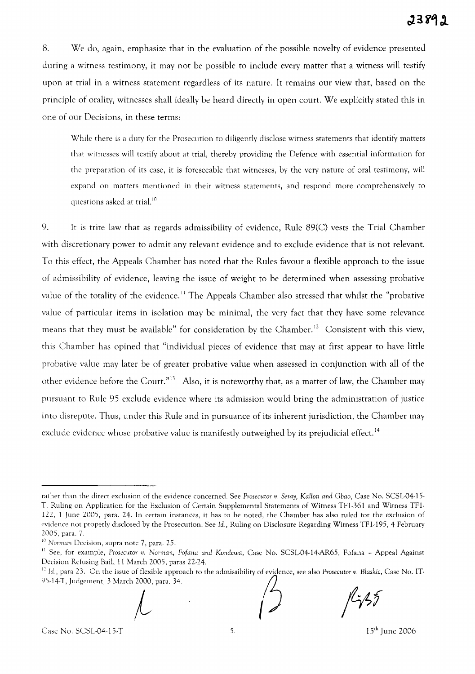8. We do, again, emphasize that in the evaluation of the possible novelty of evidence presented during a witness testimony, it may not be possible to include every matter that a witness will testify upon at trial in a witness statement regardless of its nature. It remains our view that, based on the principle of orality, witnesses shall ideally be heard directly in open court. We explicitly stated this in one of our Decisions, in these terms:

While there is a dury for the Prosecution to diligently disclose witness statements that identify matters that witnesses will testify about at trial, thereby providing the Defence with essential information for the preparation of its case, it is foreseeable that witnesses, by the very nature of oral testimony, will expand on matters mentioned in their witness statements, and respond more comprehensively to questions asked at trial.<sup>10</sup>

9. It is trite law that as regards admissibility of evidence, Rule 89(C) vests the Trial Chamber with discretionary power to admit any relevant evidence and to exclude evidence that is not relevant. To this effect, the Appeals Chamber has noted that the Rules favour a flexible approach to the issue of admissibility of evidence, leaving the issue of weight to be determined when assessing probative value of the totality of the evidence.<sup>11</sup> The Appeals Chamber also stressed that whilst the "probative value of particular items in isolation may be minimal, the very fact that they have some relevance means that they must be available" for consideration by the Chamber.<sup>12</sup> Consistent with this view, this Chamber has opined that "individual pieces of evidence that may at first appear to have little probative value may later be of greater probative value when assessed in conjunction with all of the other evidence before the Court."<sup>13</sup> Also, it is noteworthy that, as a matter of law, the Chamber may pursuant to Rule 95 exclude evidence where its admission would bring the administration of justice into disrepute. Thus, under this Rule and in pursuance of its inherent jurisdiction, the Chamber may exclude evidence whose probative value is manifestly outweighed by its prejudicial effect.<sup>14</sup>

I' *Id.,* para 23. On the issue of flexible approach to the admissibility of evidence, see also *Prosecutor v. Blaskic,* Case No. IT-Decision Refusing Bail, 11 March 2005, paras 22-24.<br>
<sup>12</sup> Id., para 23. On the issue of flexible approach to the admissibility of evidence, see also Prosecutor v. Bla<br>
95-14-T, Judgement, 3 March 2000, para. 34.



 $f\mathfrak{c}_i$ 35

rather than the direct exclusion of the evidence concerned. See Prosecutor v. Sesay, Kallon and Gbao, Case No. SCSL-04-15-T, Ruling on Application for the Exclusion of Certain Supplemental Statements of Witness TFI-361 and Witness TFl-122, 1 June 2005, para. 24. In certain instances, it has to be noted, the Chamber has also ruled for the exclusion of evidence not properly disclosed by the Prosecution. See *Id.,* Ruling on Disclosure Regarding Witness TFI-195, 4 February 2005, para. 7.

<sup>&</sup>lt;sup>10</sup> Norman Decision, supra note 7, para. 25.

<sup>&</sup>lt;sup>11</sup> See, for example, *Prosecutor v. Norman, Fofana and Kondewa*, Case No. SCSL-04-14-AR65, Fofana - Appeal Against Decision Refusing Bail, 11 March 2005, paras 22-24.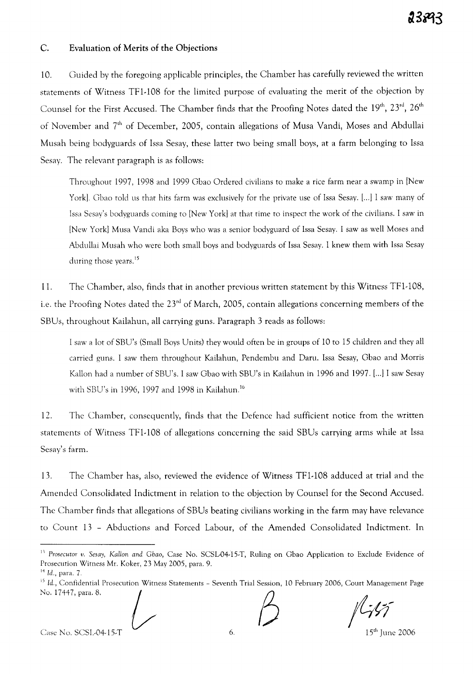#### C. Evaluation of Merits of the Objections

10. Guided by the foregoing applicable principles, the Chamber has carefully reviewed the written statements of Witness TFI-108 for the limited purpose of evaluating the merit of the objection by Counsel for the First Accused. The Chamber finds that the Proofing Notes dated the  $19^{\rm th}$ ,  $23^{\rm rd}$ ,  $26^{\rm th}$ of November and 7<sup>th</sup> of December, 2005, contain allegations of Musa Vandi, Moses and Abdullai Musah being bodyguards of Issa Sesay, these latter two being small boys, at a farm belonging to Issa Sesay. The relevant paragraph is as follows:

Throughout 1997, 1998 and 1999 Gbao Ordered civilians to make a rice farm near a swamp in [New York]. Gbao told us that hits farm was exclusively for the private use of Issa Sesay. [...] I saw many of Issa Sesay's bodyguards coming to [New York] at that time to inspect the work of the civilians. I saw in [New YorkJ Musa Vandi aka Boys who was a senior bodyguard of Issa Sesay. I saw as well Moses and Abdullai Musah who were both small boys and bodyguards of Issa Sesay. I knew them with Issa Sesay during those years.<sup>15</sup>

11. The Chamber, also, finds that in another previous written statement by this Witness TFI-108, i.e. the Proofing Notes dated the  $23<sup>rd</sup>$  of March, 2005, contain allegations concerning members of the SBUs, throughout Kailahun, all carrying guns. Paragraph 3 reads as follows:

I saw a lot of SBU's (Small Boys Units) they would often be in groups of 10 to 15 children and they all carried guns. I saw them throughout Kailahun, Pendembu and Daru. Issa Sesay, Gbao and Morris Kallon had a number of SBU's. I saw Gbao with SBU's in Kailahun in 1996 and 1997. [...J I saw Sesay with SBU's in 1996, 1997 and 1998 in Kailahun. <sup>16</sup>

12. The Chamber, consequently, finds that the Defence had sufficient notice from the written statements of Witness TFI-I08 of allegations concerning the said SBUs carrying arms while at Issa Sesay's farm.

13. The Chamber has, also, reviewed the evidence of Witness TF1-108 adduced at trial and the Amended Consolidated Indictment in relation to the objection by Counsel for the Second Accused. The Chamber finds that allegations of SBUs beating civilians working in the farm may have relevance to Count 13 - Abductions and Forced Labour, of the Amended Consolidated Indictment. In

 $Case No. SCSL-04-15-T$  6.

 $\frac{15^{1}}{15^{10}}$  June 2006

<sup>1,</sup> *Prosecutor v. Sesay, KaUon and Gbao,* Case No. SCSLD4-15·T, Ruling on Gbao Application to Exclude Evidence of Prosecution Witness Mr. Koker, 23 May 2005, para. 9.

 $^{14}$  *Id.*, para. 7.

 $^{15}$  Id., Confidential Prosecution Witness Statements – Seventh Trial Session, 10 February 2006, Court Management Page Prosecution Witness Mr. Koker, 23 May 2005, para. 9.<br><sup>14</sup> Id., para. 7.<br><sup>15</sup> Id., Confidential Prosecution Witness Statements - Seventh Trial Session,<br>No. 17447, para. 8.